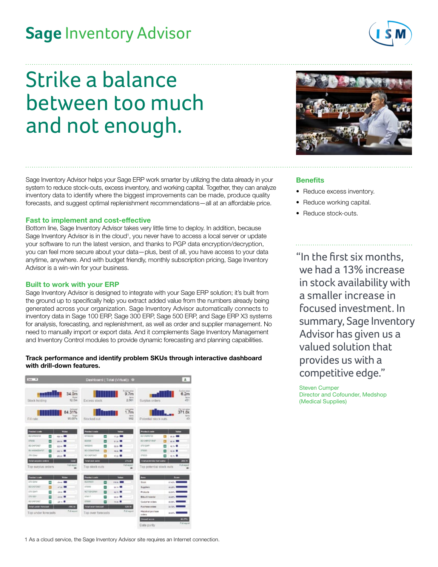## **Sage** Inventory Advisor

# Strike a balance between too much and not enough.

Sage Inventory Advisor helps your Sage ERP work smarter by utilizing the data already in your system to reduce stock-outs, excess inventory, and working capital. Together, they can analyze inventory data to identify where the biggest improvements can be made, produce quality forecasts, and suggest optimal replenishment recommendations—all at an affordable price.

#### **Fast to implement and cost-effective**

Bottom line, Sage Inventory Advisor takes very little time to deploy. In addition, because Sage Inventory Advisor is in the cloud<sup>1</sup>, you never have to access a local server or update your software to run the latest version, and thanks to PGP data encryption/decryption, you can feel more secure about your data—plus, best of all, you have access to your data anytime, anywhere. And with budget friendly, monthly subscription pricing, Sage Inventory Advisor is a win-win for your business.

#### **Built to work with your ERP**

Sage Inventory Advisor is designed to integrate with your Sage ERP solution; it's built from the ground up to specifically help you extract added value from the numbers already being generated across your organization. Sage Inventory Advisor automatically connects to inventory data in Sage 100 ERP, Sage 300 ERP, Sage 500 ERP, and Sage ERP X3 systems for analysis, forecasting, and replenishment, as well as order and supplier management. No need to manually import or export data. And it complements Sage Inventory Management and Inventory Control modules to provide dynamic forecasting and planning capabilities.

#### **Track performance and identify problem SKUs through interactive dashboard with drill-down features.**



1 As a cloud service, the Sage Inventory Advisor site requires an Internet connection.



#### **Benefits**

- Reduce excess inventory.
- Reduce working capital.
- Reduce stock-outs.

"In the first six months, we had a 13% increase in stock availability with a smaller increase in focused investment. In summary, Sage Inventory Advisor has given us a valued solution that provides us with a competitive edge."

Steven Cumper Director and Cofounder, Medshop (Medical Supplies)